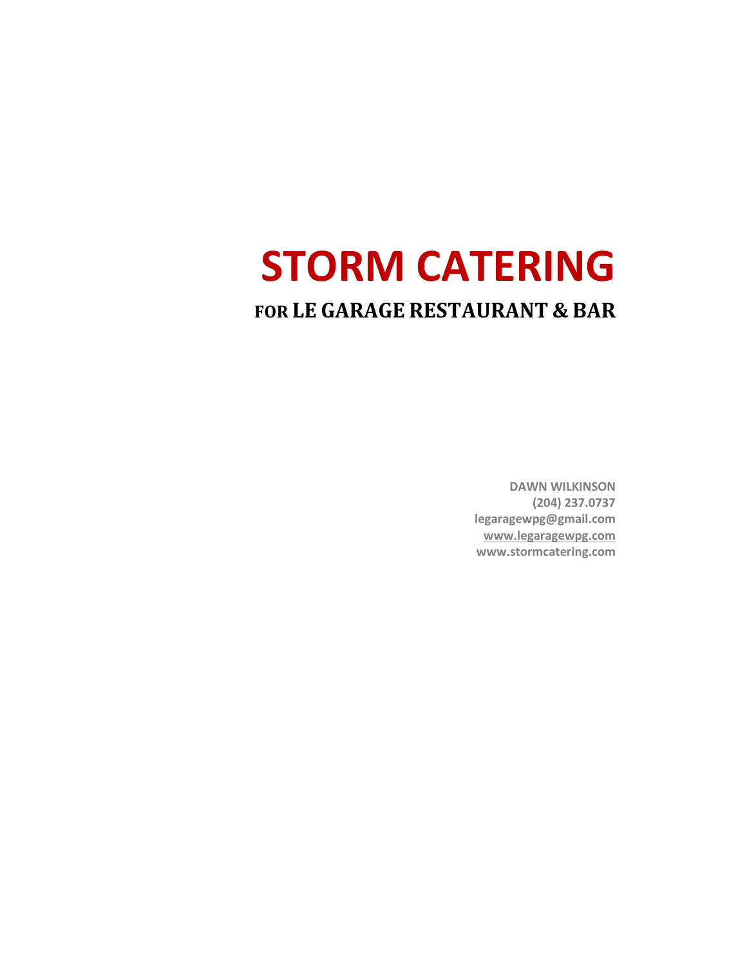# **STORM CATERING FOR LE GARAGE RESTAURANT & BAR**

**DAWN WILKINSON (204) 237.0737 legaragewpg@gmail.com www.legaragewpg.com www.stormcatering.com**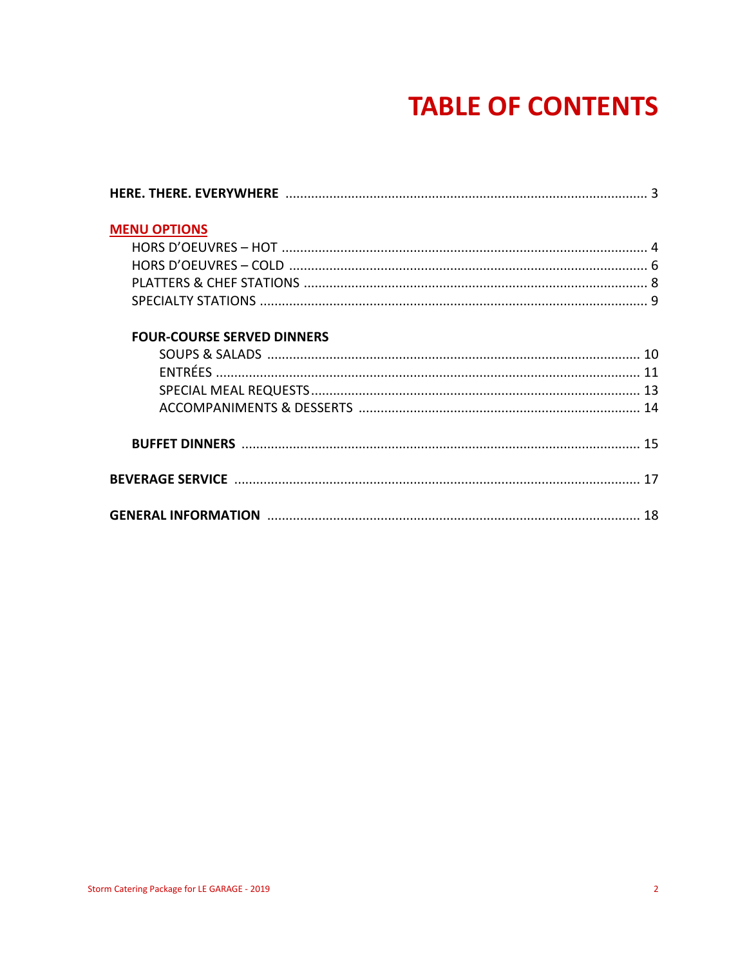### **TABLE OF CONTENTS**

| <b>MENU OPTIONS</b>               |  |
|-----------------------------------|--|
|                                   |  |
|                                   |  |
|                                   |  |
|                                   |  |
| <b>FOUR-COURSE SERVED DINNERS</b> |  |
|                                   |  |
|                                   |  |
|                                   |  |
|                                   |  |
|                                   |  |
|                                   |  |
|                                   |  |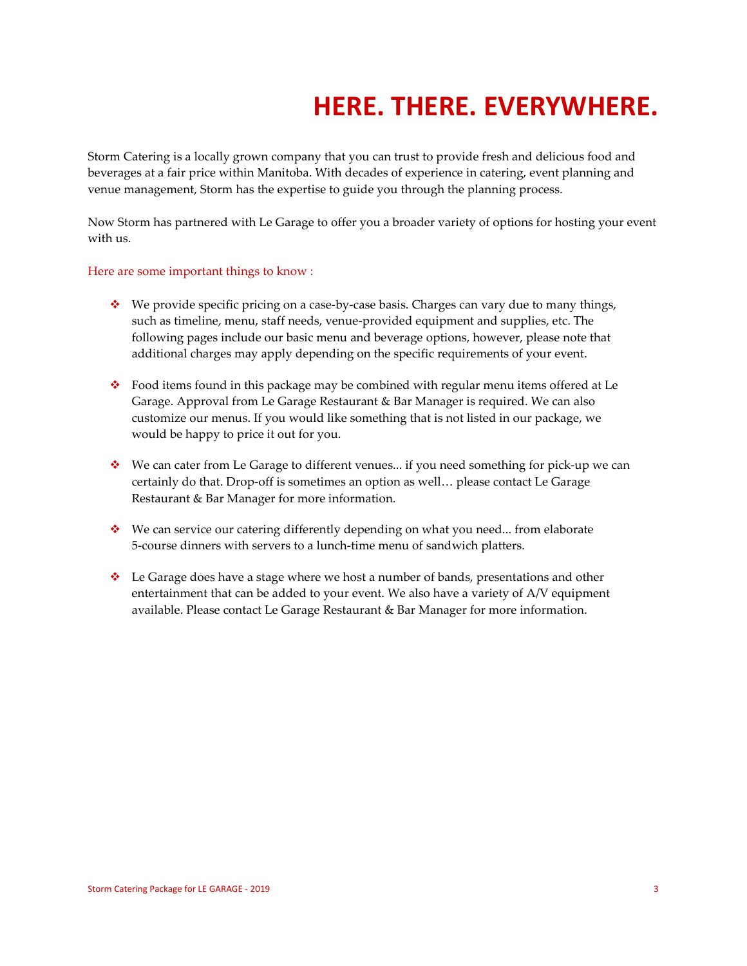### **HERE. THERE. EVERYWHERE.**

Storm Catering is a locally grown company that you can trust to provide fresh and delicious food and beverages at a fair price within Manitoba. With decades of experience in catering, event planning and venue management, Storm has the expertise to guide you through the planning process.

Now Storm has partnered with Le Garage to offer you a broader variety of options for hosting your event with us.

#### Here are some important things to know :

- $\bullet$  We provide specific pricing on a case-by-case basis. Charges can vary due to many things, such as timeline, menu, staff needs, venue-provided equipment and supplies, etc. The following pages include our basic menu and beverage options, however, please note that additional charges may apply depending on the specific requirements of your event.
- $\bullet$  Food items found in this package may be combined with regular menu items offered at Le Garage. Approval from Le Garage Restaurant & Bar Manager is required. We can also customize our menus. If you would like something that is not listed in our package, we would be happy to price it out for you.
- $\bullet$  We can cater from Le Garage to different venues... if you need something for pick-up we can certainly do that. Drop-off is sometimes an option as well… please contact Le Garage Restaurant & Bar Manager for more information.
- We can service our catering differently depending on what you need... from elaborate 5-course dinners with servers to a lunch-time menu of sandwich platters.
- \* Le Garage does have a stage where we host a number of bands, presentations and other entertainment that can be added to your event. We also have a variety of A/V equipment available. Please contact Le Garage Restaurant & Bar Manager for more information.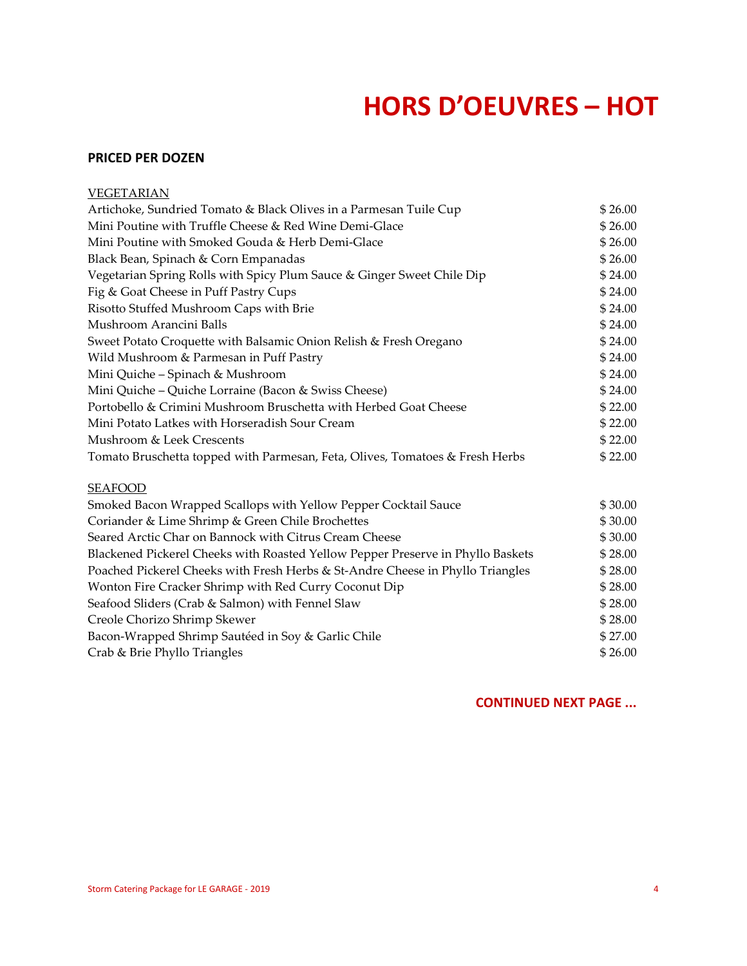### **HORS D'OEUVRES – HOT**

#### **PRICED PER DOZEN**

| <b>VEGETARIAN</b>                                                               |         |
|---------------------------------------------------------------------------------|---------|
| Artichoke, Sundried Tomato & Black Olives in a Parmesan Tuile Cup               | \$26.00 |
| Mini Poutine with Truffle Cheese & Red Wine Demi-Glace                          | \$26.00 |
| Mini Poutine with Smoked Gouda & Herb Demi-Glace                                | \$26.00 |
| Black Bean, Spinach & Corn Empanadas                                            | \$26.00 |
| Vegetarian Spring Rolls with Spicy Plum Sauce & Ginger Sweet Chile Dip          | \$24.00 |
| Fig & Goat Cheese in Puff Pastry Cups                                           | \$24.00 |
| Risotto Stuffed Mushroom Caps with Brie                                         | \$24.00 |
| Mushroom Arancini Balls                                                         | \$24.00 |
| Sweet Potato Croquette with Balsamic Onion Relish & Fresh Oregano               | \$24.00 |
| Wild Mushroom & Parmesan in Puff Pastry                                         | \$24.00 |
| Mini Quiche - Spinach & Mushroom                                                | \$24.00 |
| Mini Quiche – Quiche Lorraine (Bacon & Swiss Cheese)                            | \$24.00 |
| Portobello & Crimini Mushroom Bruschetta with Herbed Goat Cheese                | \$22.00 |
| Mini Potato Latkes with Horseradish Sour Cream                                  |         |
| Mushroom & Leek Crescents                                                       | \$22.00 |
| Tomato Bruschetta topped with Parmesan, Feta, Olives, Tomatoes & Fresh Herbs    | \$22.00 |
| <b>SEAFOOD</b>                                                                  |         |
| Smoked Bacon Wrapped Scallops with Yellow Pepper Cocktail Sauce                 | \$30.00 |
| Coriander & Lime Shrimp & Green Chile Brochettes                                | \$30.00 |
| Seared Arctic Char on Bannock with Citrus Cream Cheese                          | \$30.00 |
| Blackened Pickerel Cheeks with Roasted Yellow Pepper Preserve in Phyllo Baskets | \$28.00 |
| Poached Pickerel Cheeks with Fresh Herbs & St-Andre Cheese in Phyllo Triangles  | \$28.00 |
| Wonton Fire Cracker Shrimp with Red Curry Coconut Dip                           | \$28.00 |
| Seafood Sliders (Crab & Salmon) with Fennel Slaw                                | \$28.00 |
| Creole Chorizo Shrimp Skewer                                                    | \$28.00 |
| Bacon-Wrapped Shrimp Sautéed in Soy & Garlic Chile                              | \$27.00 |
| Crab & Brie Phyllo Triangles                                                    | \$26.00 |

**CONTINUED NEXT PAGE ...**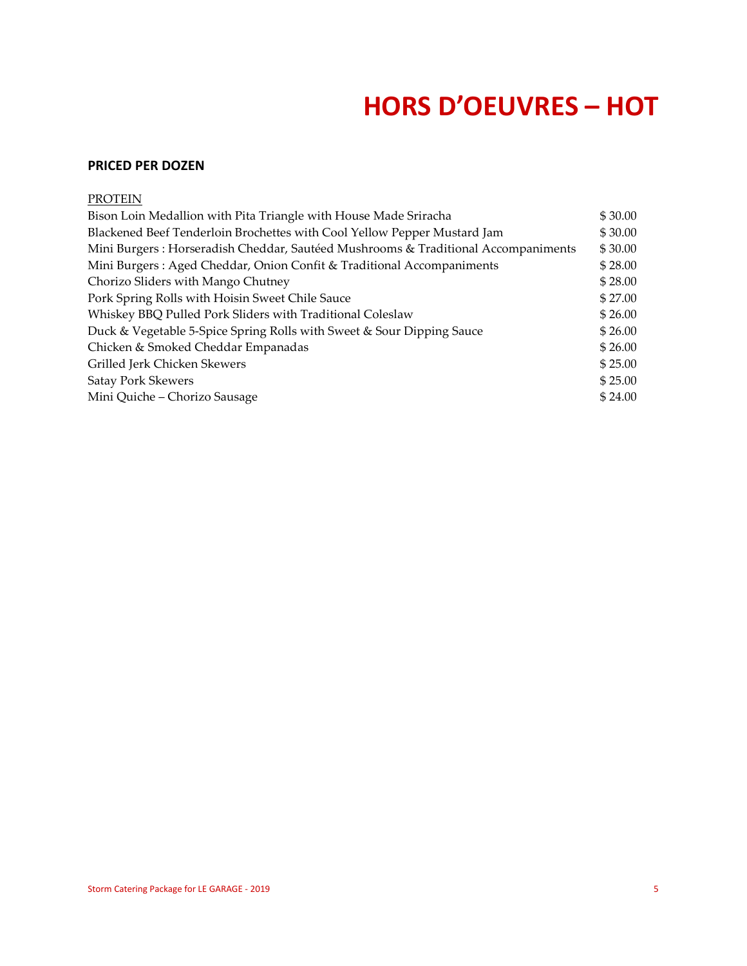### **HORS D'OEUVRES – HOT**

#### **PRICED PER DOZEN**

#### **PROTEIN**

| Bison Loin Medallion with Pita Triangle with House Made Sriracha                   | \$30.00 |
|------------------------------------------------------------------------------------|---------|
| Blackened Beef Tenderloin Brochettes with Cool Yellow Pepper Mustard Jam           | \$30.00 |
| Mini Burgers : Horseradish Cheddar, Sautéed Mushrooms & Traditional Accompaniments | \$30.00 |
| Mini Burgers: Aged Cheddar, Onion Confit & Traditional Accompaniments              | \$28.00 |
| Chorizo Sliders with Mango Chutney                                                 | \$28.00 |
| Pork Spring Rolls with Hoisin Sweet Chile Sauce                                    | \$27.00 |
| Whiskey BBQ Pulled Pork Sliders with Traditional Coleslaw                          | \$26.00 |
| Duck & Vegetable 5-Spice Spring Rolls with Sweet & Sour Dipping Sauce              | \$26.00 |
| Chicken & Smoked Cheddar Empanadas                                                 | \$26.00 |
| Grilled Jerk Chicken Skewers                                                       | \$25.00 |
| <b>Satay Pork Skewers</b>                                                          | \$25.00 |
| Mini Quiche – Chorizo Sausage                                                      | \$24.00 |
|                                                                                    |         |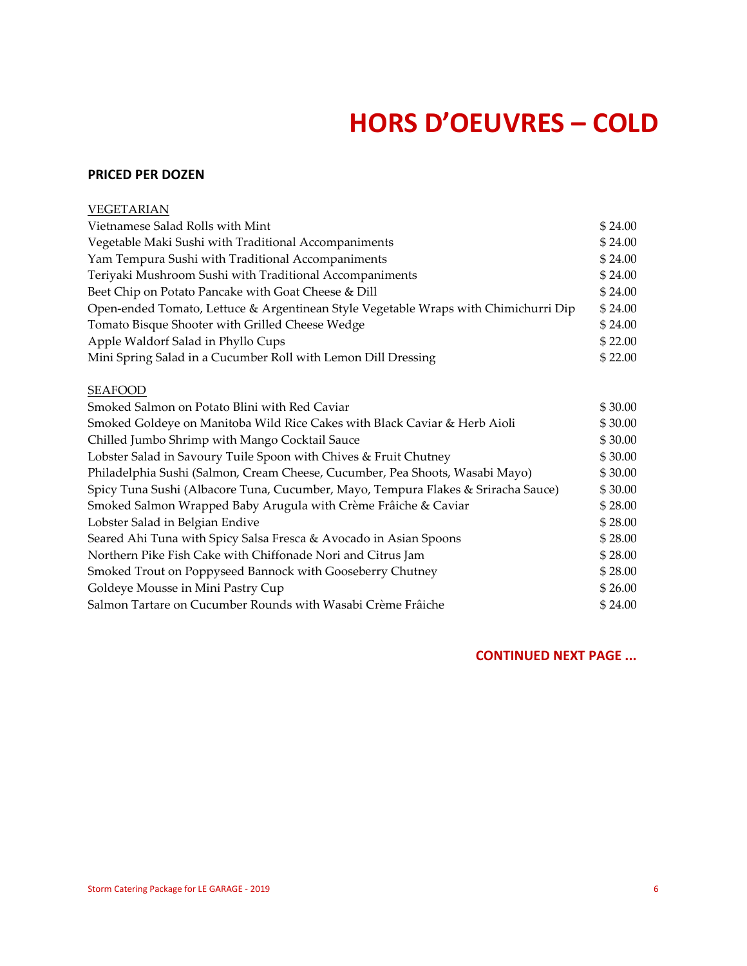## **HORS D'OEUVRES – COLD**

#### **PRICED PER DOZEN**

| VEGETARIAN                                                                          |         |
|-------------------------------------------------------------------------------------|---------|
| Vietnamese Salad Rolls with Mint                                                    | \$24.00 |
| Vegetable Maki Sushi with Traditional Accompaniments                                | \$24.00 |
| Yam Tempura Sushi with Traditional Accompaniments                                   | \$24.00 |
| Teriyaki Mushroom Sushi with Traditional Accompaniments                             | \$24.00 |
| Beet Chip on Potato Pancake with Goat Cheese & Dill                                 | \$24.00 |
| Open-ended Tomato, Lettuce & Argentinean Style Vegetable Wraps with Chimichurri Dip | \$24.00 |
| Tomato Bisque Shooter with Grilled Cheese Wedge                                     | \$24.00 |
| Apple Waldorf Salad in Phyllo Cups                                                  | \$22.00 |
| Mini Spring Salad in a Cucumber Roll with Lemon Dill Dressing                       | \$22.00 |
| <b>SEAFOOD</b>                                                                      |         |
| Smoked Salmon on Potato Blini with Red Caviar                                       | \$30.00 |
| Smoked Goldeye on Manitoba Wild Rice Cakes with Black Caviar & Herb Aioli           | \$30.00 |
| Chilled Jumbo Shrimp with Mango Cocktail Sauce                                      | \$30.00 |
| Lobster Salad in Savoury Tuile Spoon with Chives & Fruit Chutney                    | \$30.00 |
| Philadelphia Sushi (Salmon, Cream Cheese, Cucumber, Pea Shoots, Wasabi Mayo)        | \$30.00 |
| Spicy Tuna Sushi (Albacore Tuna, Cucumber, Mayo, Tempura Flakes & Sriracha Sauce)   | \$30.00 |
| Smoked Salmon Wrapped Baby Arugula with Crème Frâiche & Caviar                      | \$28.00 |
| Lobster Salad in Belgian Endive                                                     | \$28.00 |
| Seared Ahi Tuna with Spicy Salsa Fresca & Avocado in Asian Spoons                   | \$28.00 |
| Northern Pike Fish Cake with Chiffonade Nori and Citrus Jam                         | \$28.00 |
| Smoked Trout on Poppyseed Bannock with Gooseberry Chutney                           | \$28.00 |
| Goldeye Mousse in Mini Pastry Cup                                                   | \$26.00 |
| Salmon Tartare on Cucumber Rounds with Wasabi Crème Frâiche                         | \$24.00 |

**CONTINUED NEXT PAGE ...**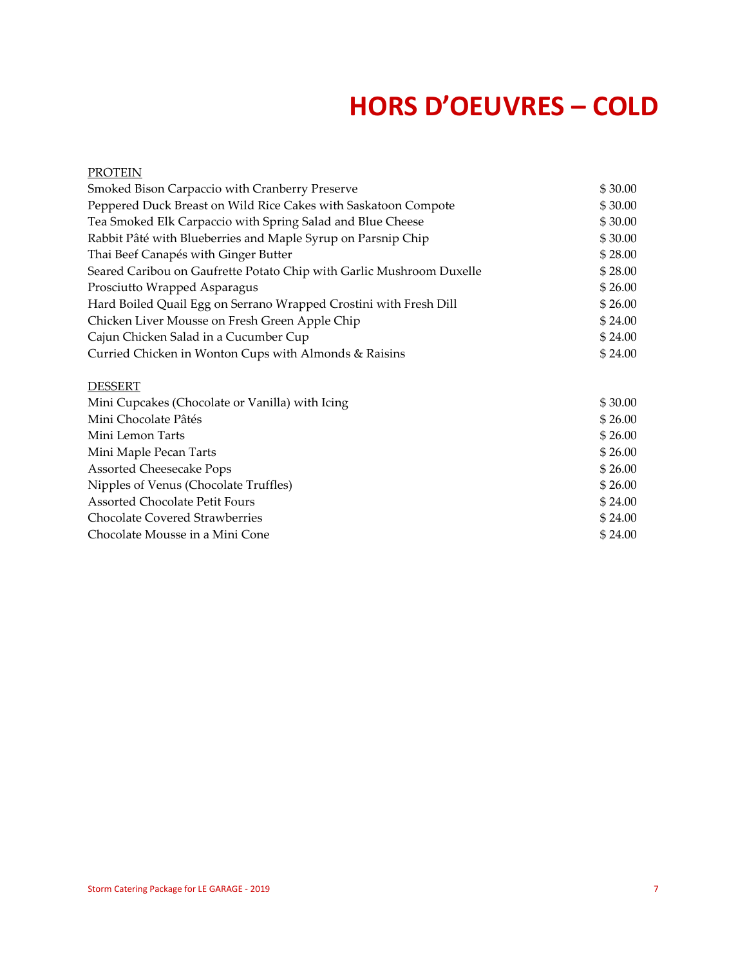### **HORS D'OEUVRES – COLD**

| <b>PROTEIN</b>                                                       |         |
|----------------------------------------------------------------------|---------|
| Smoked Bison Carpaccio with Cranberry Preserve                       | \$30.00 |
| Peppered Duck Breast on Wild Rice Cakes with Saskatoon Compote       | \$30.00 |
| Tea Smoked Elk Carpaccio with Spring Salad and Blue Cheese           | \$30.00 |
| Rabbit Pâté with Blueberries and Maple Syrup on Parsnip Chip         | \$30.00 |
| Thai Beef Canapés with Ginger Butter                                 | \$28.00 |
| Seared Caribou on Gaufrette Potato Chip with Garlic Mushroom Duxelle | \$28.00 |
| Prosciutto Wrapped Asparagus                                         | \$26.00 |
| Hard Boiled Quail Egg on Serrano Wrapped Crostini with Fresh Dill    | \$26.00 |
| Chicken Liver Mousse on Fresh Green Apple Chip                       | \$24.00 |
| Cajun Chicken Salad in a Cucumber Cup                                | \$24.00 |
| Curried Chicken in Wonton Cups with Almonds & Raisins                | \$24.00 |
| <b>DESSERT</b>                                                       |         |
| Mini Cupcakes (Chocolate or Vanilla) with Icing                      | \$30.00 |
| Mini Chocolate Pâtés                                                 | \$26.00 |
| Mini Lemon Tarts                                                     | \$26.00 |
| Mini Maple Pecan Tarts                                               | \$26.00 |
| <b>Assorted Cheesecake Pops</b>                                      | \$26.00 |
| Nipples of Venus (Chocolate Truffles)                                | \$26.00 |
| Assorted Chocolate Petit Fours                                       | \$24.00 |
| <b>Chocolate Covered Strawberries</b>                                | \$24.00 |

Chocolate Mousse in a Mini Cone  $$24.00$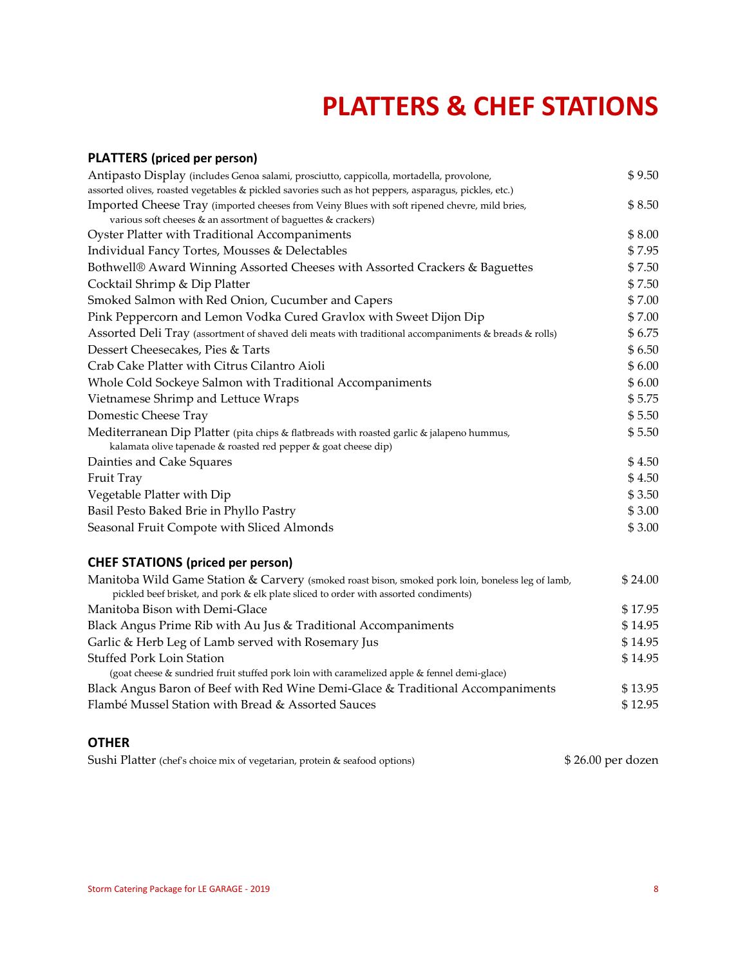### **PLATTERS & CHEF STATIONS**

#### **PLATTERS (priced per person)**  Antipasto Display (includes Genoa salami, prosciutto, cappicolla, mortadella, provolone, \$ 9.50 assorted olives, roasted vegetables & pickled savories such as hot peppers, asparagus, pickles, etc.) Imported Cheese Tray (imported cheeses from Veiny Blues with soft ripened chevre, mild bries, \$ 8.50 various soft cheeses & an assortment of baguettes & crackers) Oyster Platter with Traditional Accompaniments \$ 8.00 Individual Fancy Tortes, Mousses & Delectables \$ 7.95 Bothwell® Award Winning Assorted Cheeses with Assorted Crackers & Baguettes \$ 7.50 Cocktail Shrimp & Dip Platter \$ 7.50 Smoked Salmon with Red Onion, Cucumber and Capers **6 1.000 metals**  $$7.00$ Pink Peppercorn and Lemon Vodka Cured Gravlox with Sweet Dijon Dip \$ 7.00 Assorted Deli Tray (assortment of shaved deli meats with traditional accompaniments & breads & rolls) \$ 6.75 Dessert Cheesecakes, Pies & Tarts \$ 6.50 Crab Cake Platter with Citrus Cilantro Aioli *State Community*  $\frac{1}{2}$  6.00 Whole Cold Sockeye Salmon with Traditional Accompaniments  $$6.00$ Vietnamese Shrimp and Lettuce Wraps  $$5.75$ Domestic Cheese Tray \$ 5.50 Mediterranean Dip Platter (pita chips & flatbreads with roasted garlic & jalapeno hummus, \$ 5.50 kalamata olive tapenade & roasted red pepper & goat cheese dip) Dainties and Cake Squares  $$4.50$ Fruit Tray \$ 4.50 Vegetable Platter with Dip  $$3.50$ Basil Pesto Baked Brie in Phyllo Pastry \$ 3.00 Seasonal Fruit Compote with Sliced Almonds \$ 3.00

#### **CHEF STATIONS (priced per person)**

| Manitoba Wild Game Station & Carvery (smoked roast bison, smoked pork loin, boneless leg of lamb, |         |
|---------------------------------------------------------------------------------------------------|---------|
| pickled beef brisket, and pork & elk plate sliced to order with assorted condiments)              |         |
| Manitoba Bison with Demi-Glace                                                                    | \$17.95 |
| Black Angus Prime Rib with Au Jus & Traditional Accompaniments                                    | \$14.95 |
| Garlic & Herb Leg of Lamb served with Rosemary Jus                                                |         |
| <b>Stuffed Pork Loin Station</b>                                                                  |         |
| (goat cheese & sundried fruit stuffed pork loin with caramelized apple & fennel demi-glace)       |         |
| Black Angus Baron of Beef with Red Wine Demi-Glace & Traditional Accompaniments                   | \$13.95 |
| Flambé Mussel Station with Bread & Assorted Sauces                                                |         |

#### **OTHER**

| Sushi Platter (chef's choice mix of vegetarian, protein & seafood options) | \$26.00 per dozen |
|----------------------------------------------------------------------------|-------------------|
|----------------------------------------------------------------------------|-------------------|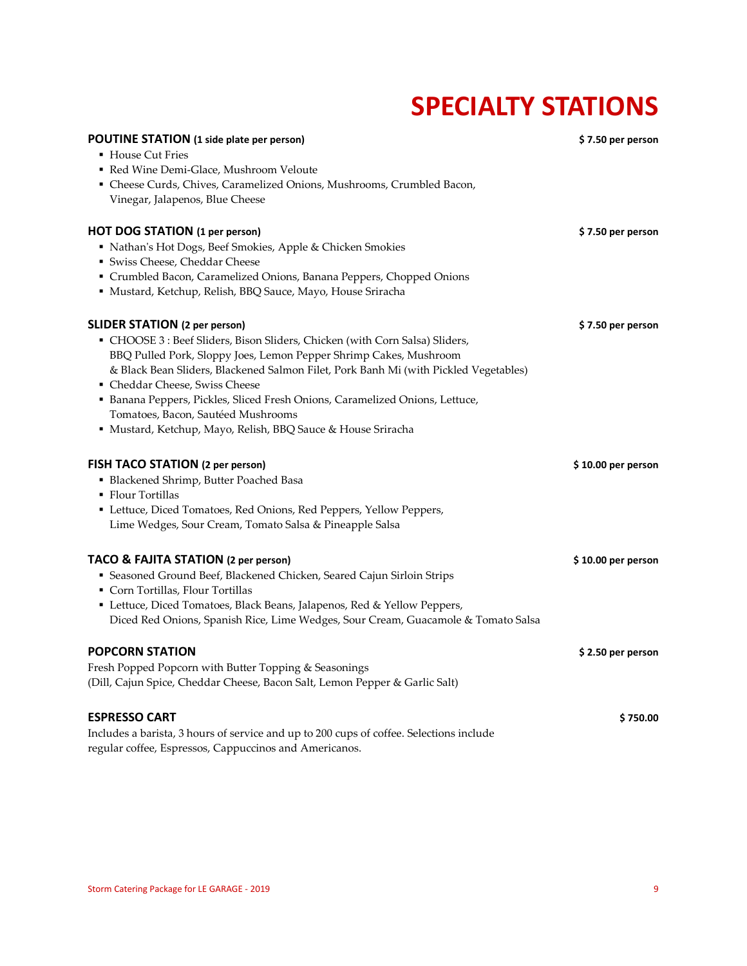### **SPECIALTY STATIONS**

| <b>POUTINE STATION</b> (1 side plate per person)<br>■ House Cut Fries<br>Red Wine Demi-Glace, Mushroom Veloute<br>• Cheese Curds, Chives, Caramelized Onions, Mushrooms, Crumbled Bacon,<br>Vinegar, Jalapenos, Blue Cheese                                                                                                                                                                                                                                                                             | \$7.50 per person  |
|---------------------------------------------------------------------------------------------------------------------------------------------------------------------------------------------------------------------------------------------------------------------------------------------------------------------------------------------------------------------------------------------------------------------------------------------------------------------------------------------------------|--------------------|
| <b>HOT DOG STATION (1 per person)</b><br>• Nathan's Hot Dogs, Beef Smokies, Apple & Chicken Smokies<br>• Swiss Cheese, Cheddar Cheese<br>" Crumbled Bacon, Caramelized Onions, Banana Peppers, Chopped Onions<br>Mustard, Ketchup, Relish, BBQ Sauce, Mayo, House Sriracha                                                                                                                                                                                                                              | \$7.50 per person  |
| <b>SLIDER STATION (2 per person)</b><br>• CHOOSE 3 : Beef Sliders, Bison Sliders, Chicken (with Corn Salsa) Sliders,<br>BBQ Pulled Pork, Sloppy Joes, Lemon Pepper Shrimp Cakes, Mushroom<br>& Black Bean Sliders, Blackened Salmon Filet, Pork Banh Mi (with Pickled Vegetables)<br>• Cheddar Cheese, Swiss Cheese<br>• Banana Peppers, Pickles, Sliced Fresh Onions, Caramelized Onions, Lettuce,<br>Tomatoes, Bacon, Sautéed Mushrooms<br>Mustard, Ketchup, Mayo, Relish, BBQ Sauce & House Sriracha | \$7.50 per person  |
| FISH TACO STATION (2 per person)<br>• Blackened Shrimp, Butter Poached Basa<br>• Flour Tortillas<br>" Lettuce, Diced Tomatoes, Red Onions, Red Peppers, Yellow Peppers,<br>Lime Wedges, Sour Cream, Tomato Salsa & Pineapple Salsa                                                                                                                                                                                                                                                                      | \$10.00 per person |
| TACO & FAJITA STATION (2 per person)<br>• Seasoned Ground Beef, Blackened Chicken, Seared Cajun Sirloin Strips<br>• Corn Tortillas, Flour Tortillas<br>• Lettuce, Diced Tomatoes, Black Beans, Jalapenos, Red & Yellow Peppers,<br>Diced Red Onions, Spanish Rice, Lime Wedges, Sour Cream, Guacamole & Tomato Salsa                                                                                                                                                                                    | \$10.00 per person |
| <b>POPCORN STATION</b><br>Fresh Popped Popcorn with Butter Topping & Seasonings<br>(Dill, Cajun Spice, Cheddar Cheese, Bacon Salt, Lemon Pepper & Garlic Salt)                                                                                                                                                                                                                                                                                                                                          | \$2.50 per person  |
| <b>ESPRESSO CART</b><br>Includes a barista, 3 hours of service and up to 200 cups of coffee. Selections include<br>regular coffee, Espressos, Cappuccinos and Americanos.                                                                                                                                                                                                                                                                                                                               | \$750.00           |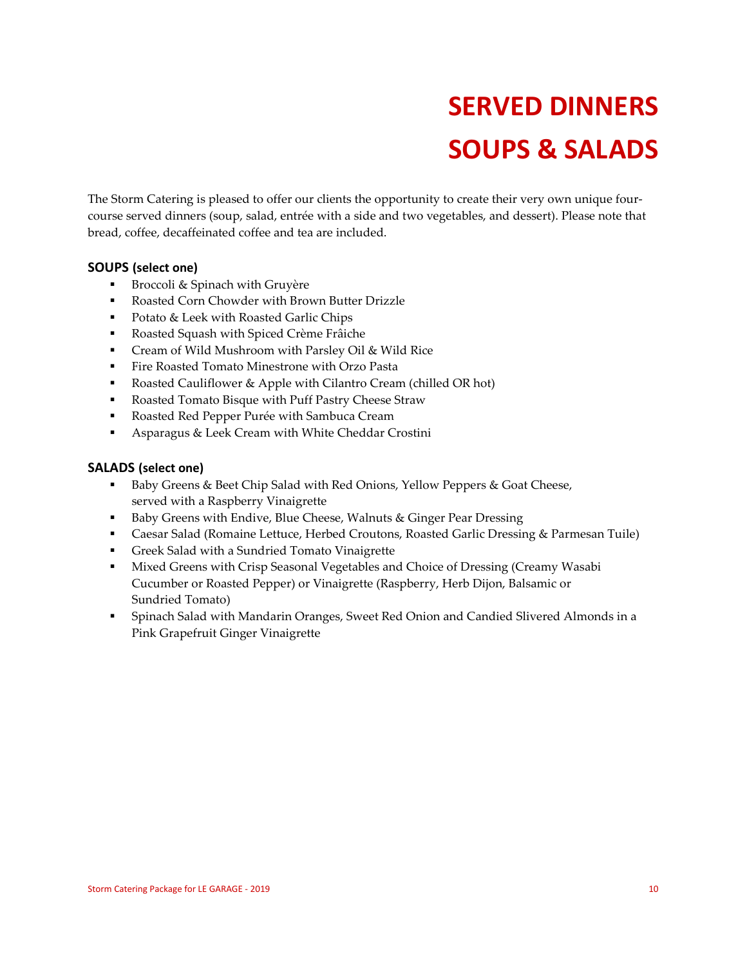# **SERVED DINNERS SOUPS & SALADS**

The Storm Catering is pleased to offer our clients the opportunity to create their very own unique fourcourse served dinners (soup, salad, entrée with a side and two vegetables, and dessert). Please note that bread, coffee, decaffeinated coffee and tea are included.

#### **SOUPS (select one)**

- **Broccoli & Spinach with Gruyère**
- Roasted Corn Chowder with Brown Butter Drizzle
- **Potato & Leek with Roasted Garlic Chips**
- Roasted Squash with Spiced Crème Frâiche
- Cream of Wild Mushroom with Parsley Oil & Wild Rice
- **Fire Roasted Tomato Minestrone with Orzo Pasta**
- Roasted Cauliflower & Apple with Cilantro Cream (chilled OR hot)
- Roasted Tomato Bisque with Puff Pastry Cheese Straw
- Roasted Red Pepper Purée with Sambuca Cream
- **Asparagus & Leek Cream with White Cheddar Crostini**

#### **SALADS (select one)**

- **Baby Greens & Beet Chip Salad with Red Onions, Yellow Peppers & Goat Cheese,** served with a Raspberry Vinaigrette
- Baby Greens with Endive, Blue Cheese, Walnuts & Ginger Pear Dressing
- Caesar Salad (Romaine Lettuce, Herbed Croutons, Roasted Garlic Dressing & Parmesan Tuile)
- Greek Salad with a Sundried Tomato Vinaigrette
- **Mixed Greens with Crisp Seasonal Vegetables and Choice of Dressing (Creamy Wasabi** Cucumber or Roasted Pepper) or Vinaigrette (Raspberry, Herb Dijon, Balsamic or Sundried Tomato)
- Spinach Salad with Mandarin Oranges, Sweet Red Onion and Candied Slivered Almonds in a Pink Grapefruit Ginger Vinaigrette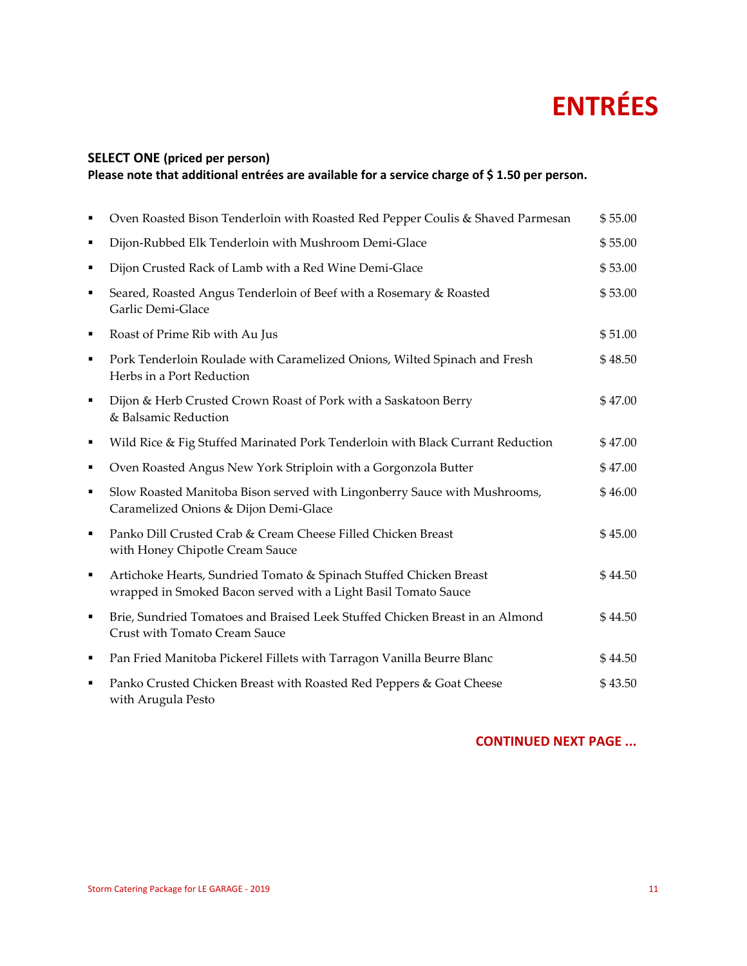# **ENTRÉES**

### **SELECT ONE (priced per person)**

**Please note that additional entrées are available for a service charge of \$ 1.50 per person.** 

|   | Oven Roasted Bison Tenderloin with Roasted Red Pepper Coulis & Shaved Parmesan                                                       | \$55.00 |
|---|--------------------------------------------------------------------------------------------------------------------------------------|---------|
| ٠ | Dijon-Rubbed Elk Tenderloin with Mushroom Demi-Glace                                                                                 | \$55.00 |
| ٠ | Dijon Crusted Rack of Lamb with a Red Wine Demi-Glace                                                                                | \$53.00 |
| ٠ | Seared, Roasted Angus Tenderloin of Beef with a Rosemary & Roasted<br>Garlic Demi-Glace                                              | \$53.00 |
| ٠ | Roast of Prime Rib with Au Jus                                                                                                       | \$51.00 |
| ٠ | Pork Tenderloin Roulade with Caramelized Onions, Wilted Spinach and Fresh<br>Herbs in a Port Reduction                               | \$48.50 |
| ٠ | Dijon & Herb Crusted Crown Roast of Pork with a Saskatoon Berry<br>& Balsamic Reduction                                              | \$47.00 |
| ٠ | Wild Rice & Fig Stuffed Marinated Pork Tenderloin with Black Currant Reduction                                                       | \$47.00 |
| ٠ | Oven Roasted Angus New York Striploin with a Gorgonzola Butter                                                                       | \$47.00 |
| ٠ | Slow Roasted Manitoba Bison served with Lingonberry Sauce with Mushrooms,<br>Caramelized Onions & Dijon Demi-Glace                   | \$46.00 |
| ٠ | Panko Dill Crusted Crab & Cream Cheese Filled Chicken Breast<br>with Honey Chipotle Cream Sauce                                      | \$45.00 |
| ٠ | Artichoke Hearts, Sundried Tomato & Spinach Stuffed Chicken Breast<br>wrapped in Smoked Bacon served with a Light Basil Tomato Sauce | \$44.50 |
| ٠ | Brie, Sundried Tomatoes and Braised Leek Stuffed Chicken Breast in an Almond<br>Crust with Tomato Cream Sauce                        | \$44.50 |
| ٠ | Pan Fried Manitoba Pickerel Fillets with Tarragon Vanilla Beurre Blanc                                                               | \$44.50 |
| ٠ | Panko Crusted Chicken Breast with Roasted Red Peppers & Goat Cheese<br>with Arugula Pesto                                            | \$43.50 |

#### **CONTINUED NEXT PAGE ...**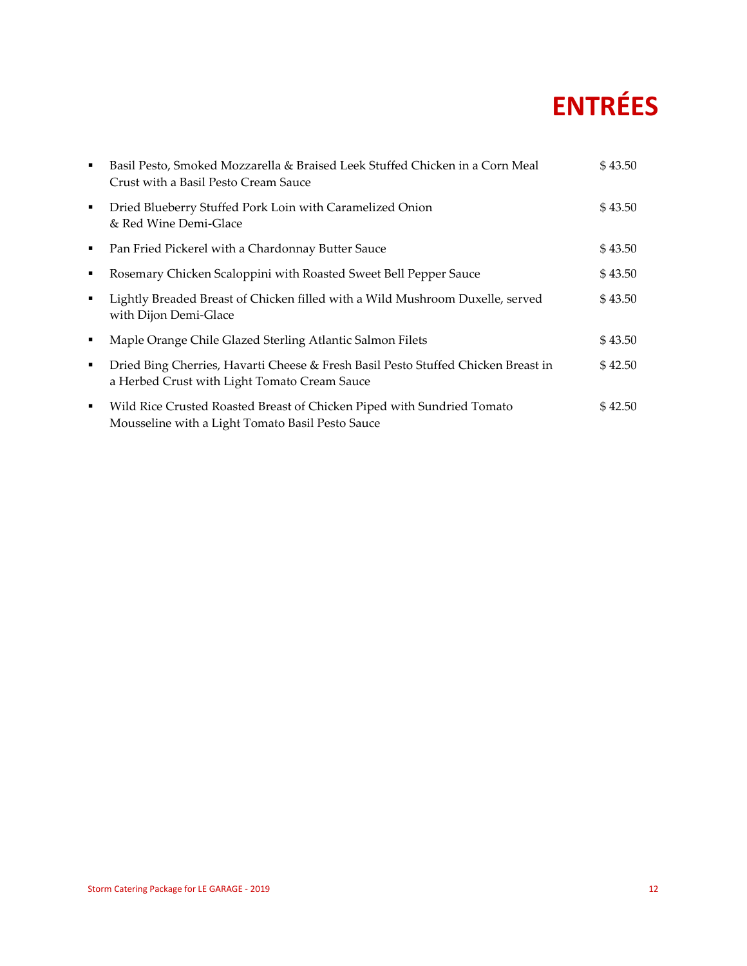# **ENTRÉES**

| ٠ | Basil Pesto, Smoked Mozzarella & Braised Leek Stuffed Chicken in a Corn Meal<br>Crust with a Basil Pesto Cream Sauce              | \$43.50 |
|---|-----------------------------------------------------------------------------------------------------------------------------------|---------|
| ٠ | Dried Blueberry Stuffed Pork Loin with Caramelized Onion<br>& Red Wine Demi-Glace                                                 | \$43.50 |
| ٠ | Pan Fried Pickerel with a Chardonnay Butter Sauce                                                                                 | \$43.50 |
| ٠ | Rosemary Chicken Scaloppini with Roasted Sweet Bell Pepper Sauce                                                                  | \$43.50 |
| ٠ | Lightly Breaded Breast of Chicken filled with a Wild Mushroom Duxelle, served<br>with Dijon Demi-Glace                            | \$43.50 |
| ٠ | Maple Orange Chile Glazed Sterling Atlantic Salmon Filets                                                                         | \$43.50 |
| ٠ | Dried Bing Cherries, Havarti Cheese & Fresh Basil Pesto Stuffed Chicken Breast in<br>a Herbed Crust with Light Tomato Cream Sauce | \$42.50 |
| ٠ | Wild Rice Crusted Roasted Breast of Chicken Piped with Sundried Tomato<br>Mousseline with a Light Tomato Basil Pesto Sauce        | \$42.50 |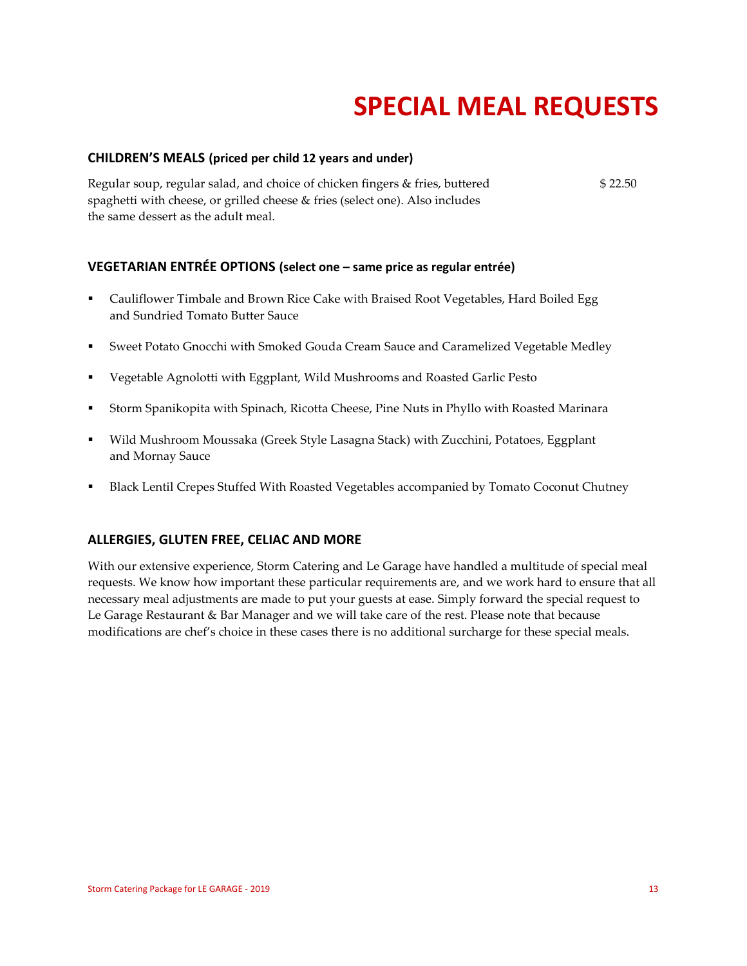### **SPECIAL MEAL REQUESTS**

#### **CHILDREN'S MEALS (priced per child 12 years and under)**

Regular soup, regular salad, and choice of chicken fingers & fries, buttered  $$ 22.50$ spaghetti with cheese, or grilled cheese & fries (select one). Also includes the same dessert as the adult meal.

#### **VEGETARIAN ENTRÉE OPTIONS (select one – same price as regular entrée)**

- Cauliflower Timbale and Brown Rice Cake with Braised Root Vegetables, Hard Boiled Egg and Sundried Tomato Butter Sauce
- Sweet Potato Gnocchi with Smoked Gouda Cream Sauce and Caramelized Vegetable Medley
- Vegetable Agnolotti with Eggplant, Wild Mushrooms and Roasted Garlic Pesto
- Storm Spanikopita with Spinach, Ricotta Cheese, Pine Nuts in Phyllo with Roasted Marinara
- Wild Mushroom Moussaka (Greek Style Lasagna Stack) with Zucchini, Potatoes, Eggplant and Mornay Sauce
- Black Lentil Crepes Stuffed With Roasted Vegetables accompanied by Tomato Coconut Chutney

#### **ALLERGIES, GLUTEN FREE, CELIAC AND MORE**

With our extensive experience, Storm Catering and Le Garage have handled a multitude of special meal requests. We know how important these particular requirements are, and we work hard to ensure that all necessary meal adjustments are made to put your guests at ease. Simply forward the special request to Le Garage Restaurant & Bar Manager and we will take care of the rest. Please note that because modifications are chef's choice in these cases there is no additional surcharge for these special meals.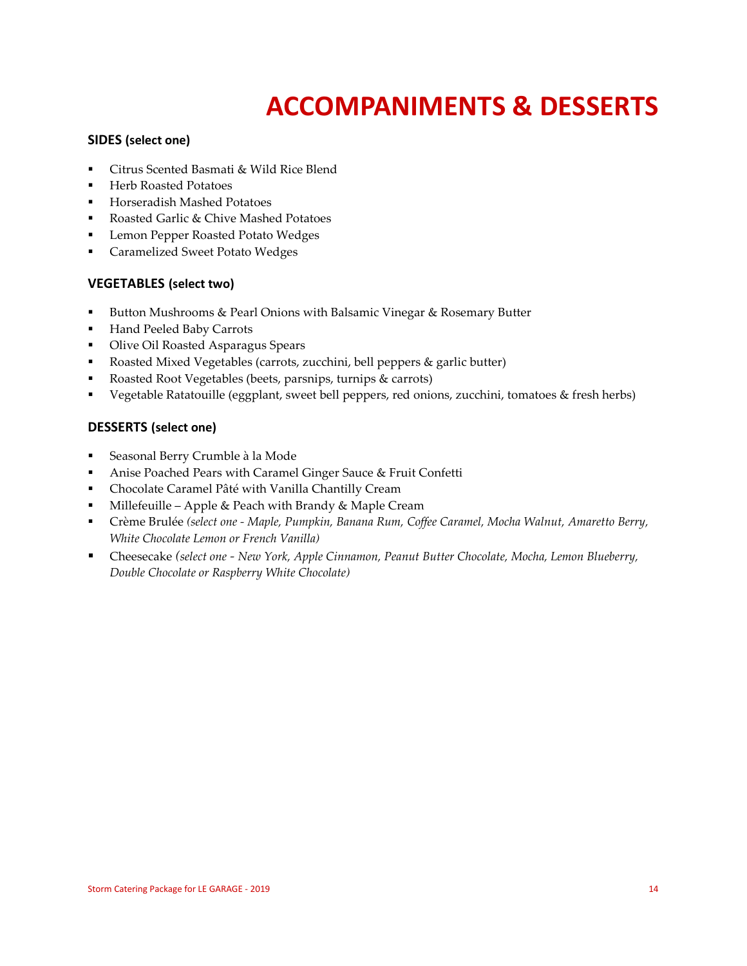## **ACCOMPANIMENTS & DESSERTS**

#### **SIDES (select one)**

- Citrus Scented Basmati & Wild Rice Blend
- **Herb Roasted Potatoes**
- **Horseradish Mashed Potatoes**
- Roasted Garlic & Chive Mashed Potatoes
- **EXECUTE: Lemon Pepper Roasted Potato Wedges**
- Caramelized Sweet Potato Wedges

#### **VEGETABLES (select two)**

- **Button Mushrooms & Pearl Onions with Balsamic Vinegar & Rosemary Butter**
- Hand Peeled Baby Carrots
- **Dive Oil Roasted Asparagus Spears**
- Roasted Mixed Vegetables (carrots, zucchini, bell peppers & garlic butter)
- Roasted Root Vegetables (beets, parsnips, turnips & carrots)
- Vegetable Ratatouille (eggplant, sweet bell peppers, red onions, zucchini, tomatoes & fresh herbs)

#### **DESSERTS (select one)**

- Seasonal Berry Crumble à la Mode
- Anise Poached Pears with Caramel Ginger Sauce & Fruit Confetti
- Chocolate Caramel Pâté with Vanilla Chantilly Cream
- $\blacksquare$  Millefeuille Apple & Peach with Brandy & Maple Cream
- Crème Brulée *(select one Maple, Pumpkin, Banana Rum, Coffee Caramel, Mocha Walnut, Amaretto Berry, White Chocolate Lemon or French Vanilla)*
- Cheesecake *(select one New York, Apple Cinnamon, Peanut Butter Chocolate, Mocha, Lemon Blueberry, Double Chocolate or Raspberry White Chocolate)*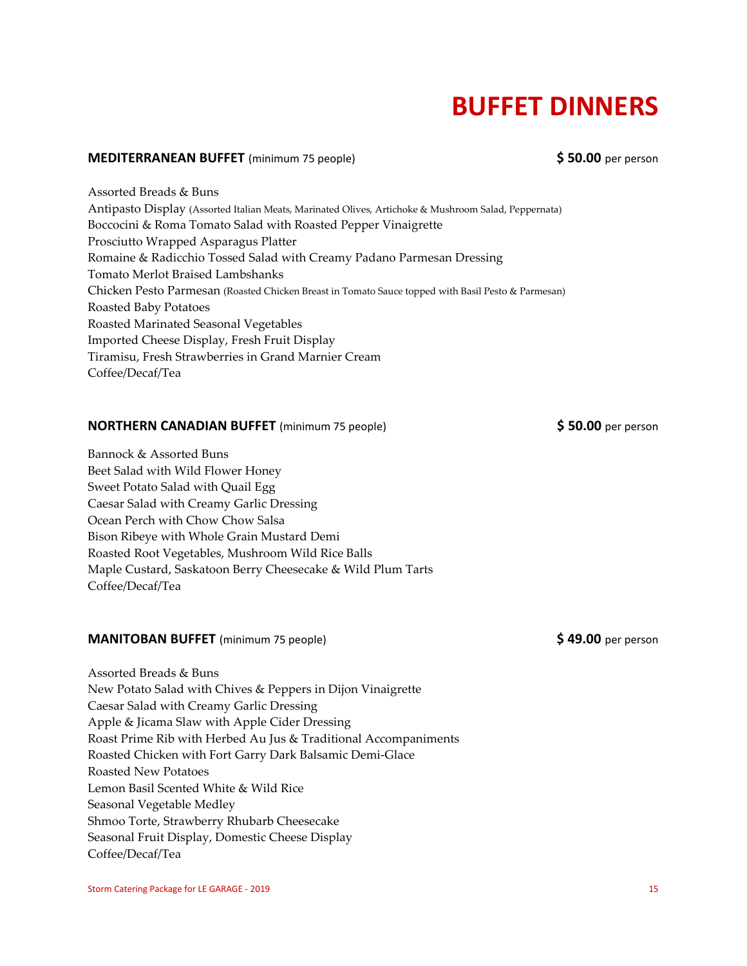### **BUFFET DINNERS**

#### **MEDITERRANEAN BUFFET** (minimum 75 people) **650.00 \$50.00** per person

Assorted Breads & Buns Antipasto Display (Assorted Italian Meats, Marinated Olives, Artichoke & Mushroom Salad, Peppernata) Boccocini & Roma Tomato Salad with Roasted Pepper Vinaigrette Prosciutto Wrapped Asparagus Platter Romaine & Radicchio Tossed Salad with Creamy Padano Parmesan Dressing Tomato Merlot Braised Lambshanks Chicken Pesto Parmesan (Roasted Chicken Breast in Tomato Sauce topped with Basil Pesto & Parmesan) Roasted Baby Potatoes Roasted Marinated Seasonal Vegetables Imported Cheese Display, Fresh Fruit Display Tiramisu, Fresh Strawberries in Grand Marnier Cream Coffee/Decaf/Tea

#### **NORTHERN CANADIAN BUFFET** (minimum 75 people) **\$ 50.00** per person

Bannock & Assorted Buns Beet Salad with Wild Flower Honey Sweet Potato Salad with Quail Egg Caesar Salad with Creamy Garlic Dressing Ocean Perch with Chow Chow Salsa Bison Ribeye with Whole Grain Mustard Demi Roasted Root Vegetables, Mushroom Wild Rice Balls Maple Custard, Saskatoon Berry Cheesecake & Wild Plum Tarts Coffee/Decaf/Tea

#### **MANITOBAN BUFFET** (minimum 75 people) **\$ 49.00** per person

Assorted Breads & Buns New Potato Salad with Chives & Peppers in Dijon Vinaigrette Caesar Salad with Creamy Garlic Dressing Apple & Jicama Slaw with Apple Cider Dressing Roast Prime Rib with Herbed Au Jus & Traditional Accompaniments Roasted Chicken with Fort Garry Dark Balsamic Demi-Glace Roasted New Potatoes Lemon Basil Scented White & Wild Rice Seasonal Vegetable Medley Shmoo Torte, Strawberry Rhubarb Cheesecake Seasonal Fruit Display, Domestic Cheese Display Coffee/Decaf/Tea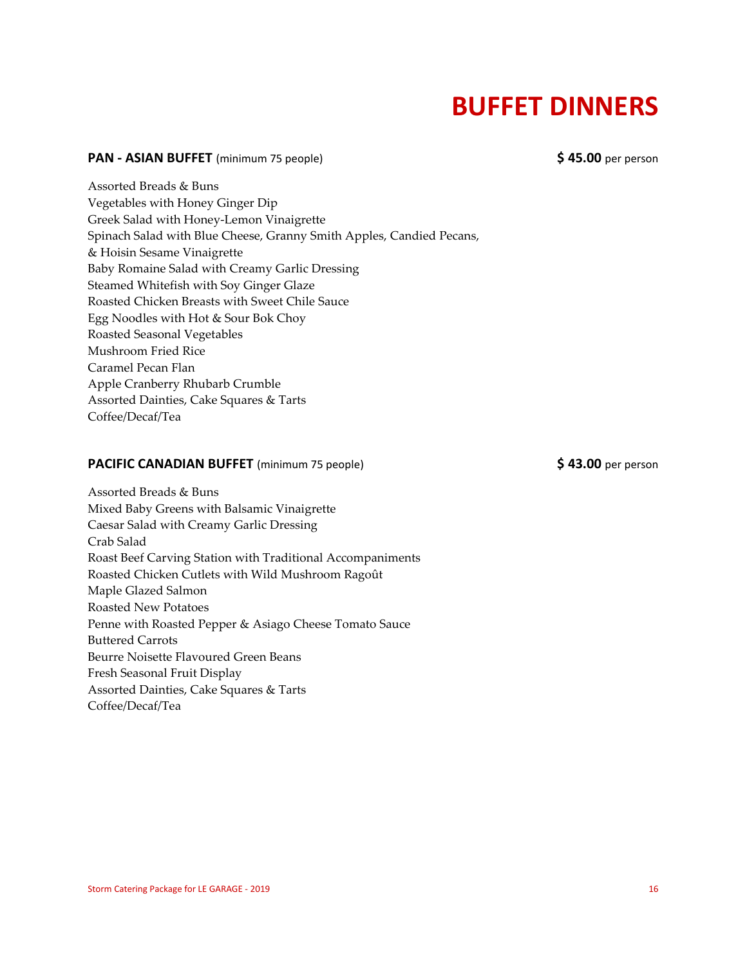### **BUFFET DINNERS**

#### **PAN - ASIAN BUFFET** (minimum 75 people) **\$ 45.00** per person

Assorted Breads & Buns Vegetables with Honey Ginger Dip Greek Salad with Honey-Lemon Vinaigrette Spinach Salad with Blue Cheese, Granny Smith Apples, Candied Pecans, & Hoisin Sesame Vinaigrette Baby Romaine Salad with Creamy Garlic Dressing Steamed Whitefish with Soy Ginger Glaze Roasted Chicken Breasts with Sweet Chile Sauce Egg Noodles with Hot & Sour Bok Choy Roasted Seasonal Vegetables Mushroom Fried Rice Caramel Pecan Flan Apple Cranberry Rhubarb Crumble Assorted Dainties, Cake Squares & Tarts Coffee/Decaf/Tea

#### **PACIFIC CANADIAN BUFFET** (minimum 75 people) **\$ 43.00** per person

Assorted Breads & Buns Mixed Baby Greens with Balsamic Vinaigrette Caesar Salad with Creamy Garlic Dressing Crab Salad Roast Beef Carving Station with Traditional Accompaniments Roasted Chicken Cutlets with Wild Mushroom Ragoût Maple Glazed Salmon Roasted New Potatoes Penne with Roasted Pepper & Asiago Cheese Tomato Sauce Buttered Carrots Beurre Noisette Flavoured Green Beans Fresh Seasonal Fruit Display Assorted Dainties, Cake Squares & Tarts Coffee/Decaf/Tea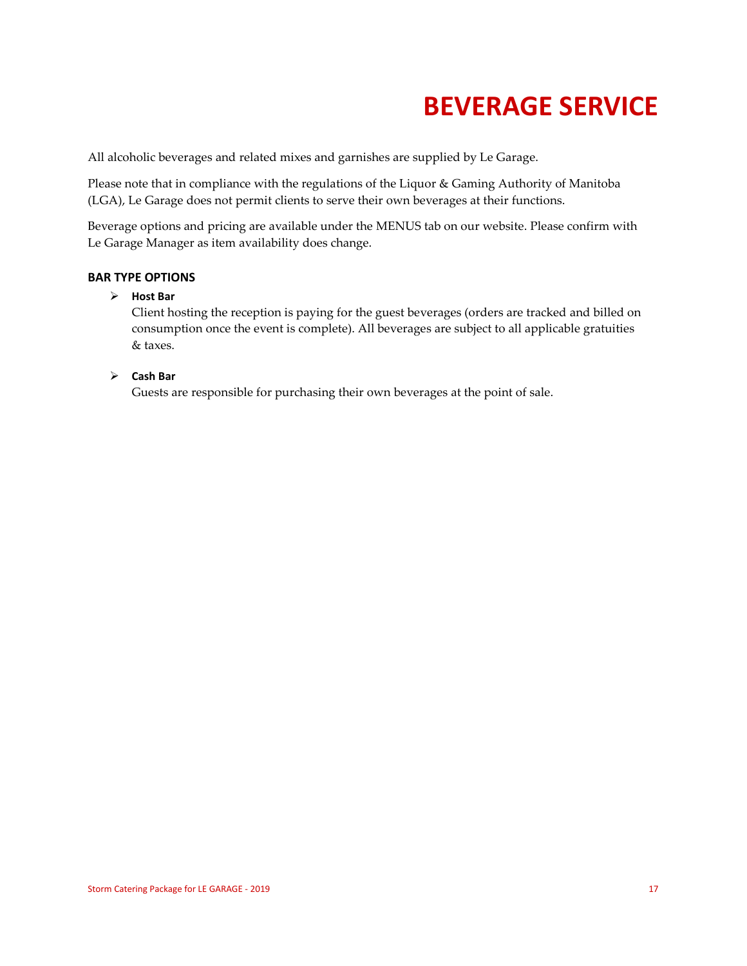### **BEVERAGE SERVICE**

All alcoholic beverages and related mixes and garnishes are supplied by Le Garage.

Please note that in compliance with the regulations of the Liquor & Gaming Authority of Manitoba (LGA), Le Garage does not permit clients to serve their own beverages at their functions.

Beverage options and pricing are available under the MENUS tab on our website. Please confirm with Le Garage Manager as item availability does change.

#### **BAR TYPE OPTIONS**

#### **Host Bar**

Client hosting the reception is paying for the guest beverages (orders are tracked and billed on consumption once the event is complete). All beverages are subject to all applicable gratuities & taxes.

#### **Cash Bar**

Guests are responsible for purchasing their own beverages at the point of sale.